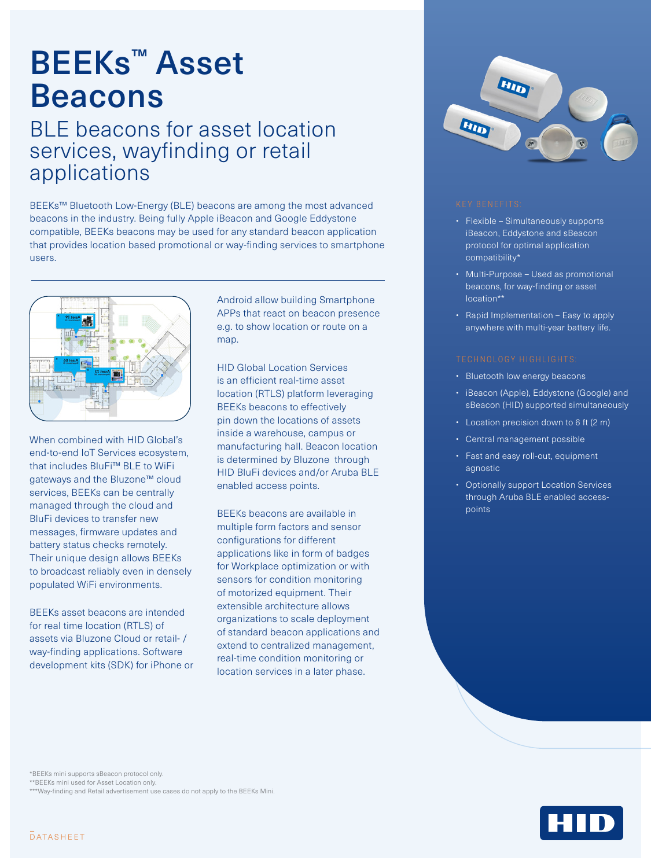# BEEKs™ Asset Beacons

## BLE beacons for asset location services, wayfinding or retail applications

BEEKs™ Bluetooth Low-Energy (BLE) beacons are among the most advanced beacons in the industry. Being fully Apple iBeacon and Google Eddystone compatible, BEEKs beacons may be used for any standard beacon application that provides location based promotional or way-finding services to smartphone users.



When combined with HID Global's end-to-end IoT Services ecosystem, that includes BluFi™ BLE to WiFi gateways and the Bluzone™ cloud services, BEEKs can be centrally managed through the cloud and BluFi devices to transfer new messages, firmware updates and battery status checks remotely. Their unique design allows BEEKs to broadcast reliably even in densely populated WiFi environments.

BEEKs asset beacons are intended for real time location (RTLS) of assets via Bluzone Cloud or retail- / way-finding applications. Software development kits (SDK) for iPhone or Android allow building Smartphone APPs that react on beacon presence e.g. to show location or route on a map.

HID Global Location Services is an efficient real-time asset location (RTLS) platform leveraging BEEKs beacons to effectively pin down the locations of assets inside a warehouse, campus or manufacturing hall. Beacon location is determined by Bluzone through HID BluFi devices and/or Aruba BLE enabled access points.

BEEKs beacons are available in multiple form factors and sensor configurations for different applications like in form of badges for Workplace optimization or with sensors for condition monitoring of motorized equipment. Their extensible architecture allows organizations to scale deployment of standard beacon applications and extend to centralized management, real-time condition monitoring or location services in a later phase.



- Flexible Simultaneously supports iBeacon, Eddystone and sBeacon protocol for optimal application compatibility\*
- Multi-Purpose Used as promotional beacons, for way-finding or asset location\*\*
- Rapid Implementation Easy to apply anywhere with multi-year battery life.

- Bluetooth low energy beacons
- iBeacon (Apple), Eddystone (Google) and sBeacon (HID) supported simultaneously
- Location precision down to 6 ft (2 m)
- Central management possible
- Fast and easy roll-out, equipment agnostic
- Optionally support Location Services through Aruba BLE enabled accesspoints

\*BEEKs mini supports sBeacon protocol only.

\*\*BEEKs mini used for Asset Location only.

\*\*\*Way-finding and Retail advertisement use cases do not apply to the BEEKs Mini.